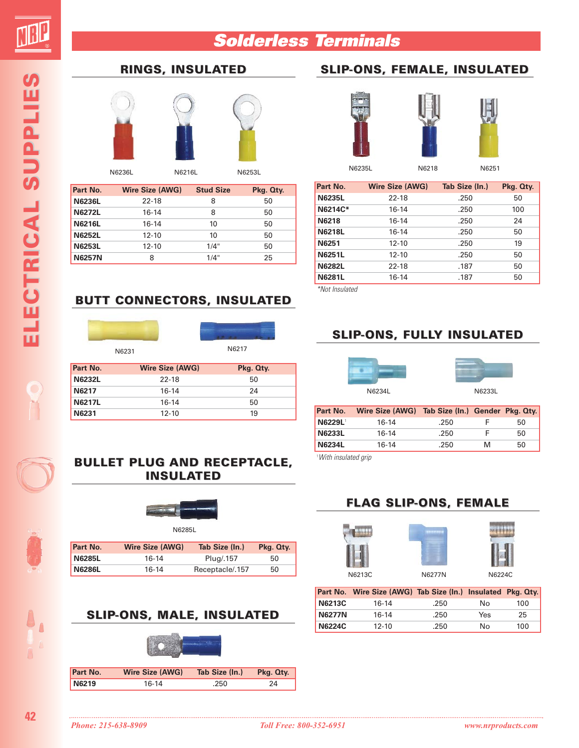**ELECTRIC ELECTRICAL SUPPLIES AL SUPPLIES**

ELECTRICAL SUPPLIES

#### **Solderless Terminals**

#### **SLIP-ONS, FEMALE, INSULATED**



**RINGS, INSULATED**

N6236L N6216L N6253L

| Part No.      | <b>Wire Size (AWG)</b> | <b>Stud Size</b> | Pkg. Qty. |
|---------------|------------------------|------------------|-----------|
| <b>N6236L</b> | $22 - 18$              | 8                | 50        |
| <b>N6272L</b> | $16 - 14$              | 8                | 50        |
| <b>N6216L</b> | $16-14$                | 10               | 50        |
| <b>N6252L</b> | $12 - 10$              | 10               | 50        |
| <b>N6253L</b> | $12 - 10$              | 1/4"             | 50        |
| <b>N6257N</b> | 8                      | 1/4"             | 25        |



N6235L N6218 N6251

| Part No.      | <b>Wire Size (AWG)</b> | Tab Size (In.) | Pkg. Qty. |
|---------------|------------------------|----------------|-----------|
| <b>N6235L</b> | $22 - 18$              | .250           | 50        |
| N6214C*       | 16-14                  | .250           | 100       |
| <b>N6218</b>  | 16-14                  | .250           | 24        |
| <b>N6218L</b> | 16-14                  | .250           | 50        |
| N6251         | $12 - 10$              | .250           | 19        |
| <b>N6251L</b> | $12 - 10$              | .250           | 50        |
| <b>N6282L</b> | $22 - 18$              | .187           | 50        |
| <b>N6281L</b> | 16-14                  | .187           | 50        |

\*Not Insulated

#### **BUTT CONNECTORS, INSULATED**





N6231 N6217

| Part No.      | <b>Wire Size (AWG)</b> | Pkg. Qty. |
|---------------|------------------------|-----------|
| <b>N6232L</b> | 22-18                  | 50        |
| N6217         | $16-14$                | 24        |
| <b>N6217L</b> | $16-14$                | 50        |
| N6231         | $12 - 10$              | 19        |

#### **BULLET PLUG BULLET PLUG AND RECEPTACLE, INSULATED**



| <b>Part No.</b> | <b>Wire Size (AWG)</b> | Tab Size (In.)  | Pkg. Qty. |
|-----------------|------------------------|-----------------|-----------|
| <b>N6285L</b>   | 16-14                  | Plug/.157       | 50        |
| <b>N6286L</b>   | 16-14                  | Receptacle/.157 | 50        |

## **SLIP-ONS, MALE, INSULATED**



| Part No. | Wire Size (AWG) | Tab Size (In.) | Pkg. Qty. |
|----------|-----------------|----------------|-----------|
| N6219    | 16-14           | .250           | 24        |

#### **SLIP-ONS, FULLY INSULATED**

# N6234L N6233L



| Part No.      | Wire Size (AWG) Tab Size (In.) Gender Pkg. Qty. |      |   |    |
|---------------|-------------------------------------------------|------|---|----|
| <b>N6229L</b> | 16-14                                           | .250 |   | 50 |
| <b>N6233L</b> | $16-14$                                         | .250 |   | 50 |
| <b>N6234L</b> | 16-14                                           | .250 | м | 50 |

1 With insulated grip

#### **FLAG SLIP-ONS, FEMALE**





|               | Part No. Wire Size (AWG) Tab Size (In.) Insulated Pkg. Qty. |      |     |     |
|---------------|-------------------------------------------------------------|------|-----|-----|
| N6213C        | $16-14$                                                     | .250 | N٥  | 100 |
| <b>N6277N</b> | $16-14$                                                     | .250 | Yes | 25  |
| N6224C        | $12 - 10$                                                   | .250 | Nο  | 100 |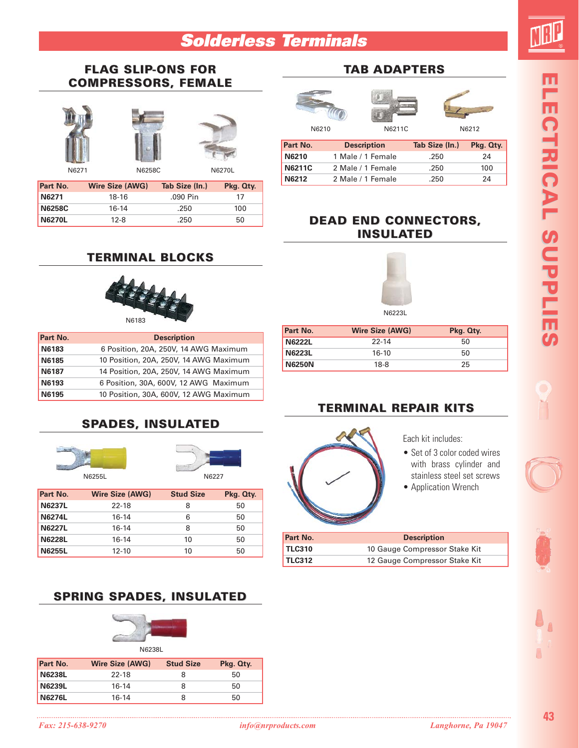#### **Solderless Terminals**

#### **FLAG SLIP-ONS FOR COMPRESSORS, FEMALE**







N6271 N6270L N6258C

| <b>Part No.</b> | <b>Wire Size (AWG)</b> | Tab Size (In.) | Pkg. Qty. |
|-----------------|------------------------|----------------|-----------|
| N6271           | 18-16                  | .090 Pin       | 17        |
| <b>N6258C</b>   | 16-14                  | .250           | 100       |
| <b>N6270L</b>   | $12 - 8$               | .250           | 50        |

#### **TERMINAL BLOCKS**



| Part No. | <b>Description</b>                     |
|----------|----------------------------------------|
| N6183    | 6 Position, 20A, 250V, 14 AWG Maximum  |
| N6185    | 10 Position, 20A, 250V, 14 AWG Maximum |
| N6187    | 14 Position, 20A, 250V, 14 AWG Maximum |
| N6193    | 6 Position, 30A, 600V, 12 AWG Maximum  |
| N6195    | 10 Position, 30A, 600V, 12 AWG Maximum |

#### **SPADES, INSULATED**





| Part No.      | <b>Wire Size (AWG)</b> | <b>Stud Size</b> | Pkg. Qty. |
|---------------|------------------------|------------------|-----------|
| <b>N6237L</b> | 22-18                  | 8                | 50        |
| <b>N6274L</b> | $16-14$                | 6                | 50        |
| <b>N6227L</b> | $16-14$                | 8                | 50        |
| <b>N6228L</b> | $16-14$                | 10               | 50        |
| <b>N6255L</b> | $12 - 10$              | 10               | 50        |

#### **SPRING SPADES, INSULATED**



N6238L

| Part No.      | Wire Size (AWG) | <b>Stud Size</b> | Pkg. Qty. |
|---------------|-----------------|------------------|-----------|
| <b>N6238L</b> | 22-18           | 8                | 50        |
| <b>N6239L</b> | 16-14           | 8                | 50        |
| <b>N6276L</b> | 16-14           | 8                | 50        |

#### **TAB ADAPTERS**



| Part No.      | <b>Description</b> | Tab Size (In.) | Pkg. Qty. |
|---------------|--------------------|----------------|-----------|
| N6210         | 1 Male / 1 Female  | .250           | 24        |
| <b>N6211C</b> | 2 Male / 1 Female  | .250           | 100       |
| N6212         | 2 Male / 1 Female  | .250           | 24        |

#### **DEAD END CONNECTORS, INSULATED**



N6223L

| Part No.      | <b>Wire Size (AWG)</b> | Pkg. Qty. |
|---------------|------------------------|-----------|
| <b>N6222L</b> | $22 - 14$              | 50        |
| <b>N6223L</b> | $16-10$                | 50        |
| <b>N6250N</b> | $18-8$                 | 25        |
|               |                        |           |

#### **TERMINAL REPAIR KITS**



Each kit includes:

- Set of 3 color coded wires with brass cylinder and stainless steel set screws • Application Wrench
- 

| Part No.      | <b>Description</b>            |
|---------------|-------------------------------|
| <b>TLC310</b> | 10 Gauge Compressor Stake Kit |
| <b>TLC312</b> | 12 Gauge Compressor Stake Kit |
|               |                               |

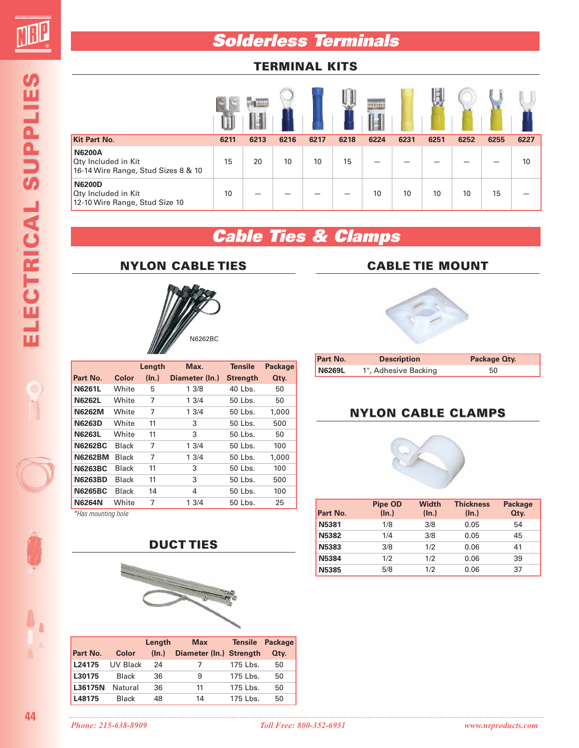**Solderless Terminals**

#### **TERMINAL KITS**

|                                                                             | w    | я    |      |      |      |      |      |      |      |      |      |
|-----------------------------------------------------------------------------|------|------|------|------|------|------|------|------|------|------|------|
| <b>Kit Part No.</b>                                                         | 6211 | 6213 | 6216 | 6217 | 6218 | 6224 | 6231 | 6251 | 6252 | 6255 | 6227 |
| <b>N6200A</b><br>Oty Included in Kit<br>16-14 Wire Range, Stud Sizes 8 & 10 | 15   | 20   | 10   | 10   | 15   |      |      |      |      |      | 10   |
| <b>N6200D</b><br>Oty Included in Kit<br>12-10 Wire Range, Stud Size 10      | 10   |      |      |      |      | 10   | 10   | 10   | 10   | 15   |      |

### **Cable Ties & Clamps**



**NYLON CABLE TIES**

|                |              | Length | Max.           | <b>Tensile</b>  | <b>Package</b> |
|----------------|--------------|--------|----------------|-----------------|----------------|
| Part No.       | Color        | (ln.)  | Diameter (In.) | <b>Strength</b> | Qty.           |
| <b>N6261L</b>  | White        | 5      | 13/8           | 40 Lbs.         | 50             |
| <b>N6262L</b>  | White        | 7      | 13/4           | 50 Lbs.         | 50             |
| <b>N6262M</b>  | White        | 7      | 13/4           | 50 Lbs.         | 1,000          |
| <b>N6263D</b>  | White        | 11     | 3              | 50 Lbs.         | 500            |
| <b>N6263L</b>  | White        | 11     | 3              | 50 Lbs.         | 50             |
| <b>N6262BC</b> | <b>Black</b> | 7      | 1.3/4          | 50 Lbs.         | 100            |
| <b>N6262BM</b> | <b>Black</b> | 7      | 13/4           | 50 Lbs.         | 1,000          |
| <b>N6263BC</b> | <b>Black</b> | 11     | 3              | 50 Lbs.         | 100            |
| <b>N6263BD</b> | Black        | 11     | 3              | 50 Lbs.         | 500            |
| <b>N6265BC</b> | Black        | 14     | 4              | 50 Lbs.         | 100            |
| <b>N6264N</b>  | White        | 7      | 13/4           | 50 Lbs.         | 25             |

\*Has mounting hole



|          |              | Length | <b>Max</b>              | <b>Tensile</b> | <b>Package</b> |
|----------|--------------|--------|-------------------------|----------------|----------------|
| Part No. | Color        | (ln.)  | Diameter (In.) Strength |                | Qty.           |
| L24175   | UV Black     | 24     |                         | 175 Lbs.       | 50             |
| L30175   | Black        | 36     | 9                       | 175 Lbs.       | 50             |
| L36175N  | Natural      | 36     | 11                      | 175 Lbs.       | 50             |
| L48175   | <b>Black</b> | 48     | 14                      | 175 Lbs.       | 50             |

#### **CABLE TIE MOUNT**



| <b>Part No.</b> | <b>Description</b>   | Package Oty. |
|-----------------|----------------------|--------------|
| N6269L          | 1", Adhesive Backing | 50           |

#### **NYLON CABLE CLAMPS**



|              | Pipe OD  | <b>Width</b> | <b>Thickness</b> | <b>Package</b> |
|--------------|----------|--------------|------------------|----------------|
| Part No.     | $(\ln.)$ | (ln.)        | (ln.)            | Qty.           |
| N5381        | 1/8      | 3/8          | 0.05             | 54             |
| <b>N5382</b> | 1/4      | 3/8          | 0.05             | 45             |
| N5383        | 3/8      | 1/2          | 0.06             | 41             |
| N5384        | 1/2      | 1/2          | 0.06             | 39             |
| <b>N5385</b> | 5/8      | 1/2          | 0.06             | 37             |

**44**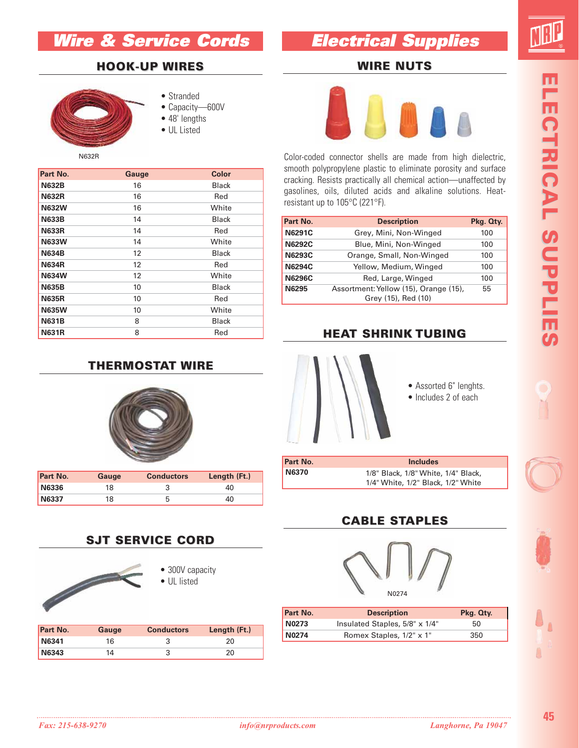#### **Wire & Service Cords**

#### **Electrical Supplies**

**WIRE NUTS**

#### **HOOK-UP HOOK-UP WIRES**

**Part No. 6 Gauge Color N632B** 16 Black **N632R** 16 Red **N632W** 16 White **N633B** 14 Black **N633R** 14 Red **N633W** 14 White **N634B** 12 Black **N634R** 12 Red **N634W** 12 White **N635B** 10 Black **N635R** 10 Red **N635W** 10 White **N631B** 8 Black **N631R** 8 Red



- Stranded
- Capacity—600V
- 48' lengths
- UL Listed



Color-coded connector shells are made from high dielectric, smooth polypropylene plastic to eliminate porosity and surface cracking. Resists practically all chemical action—unaffected by gasolines, oils, diluted acids and alkaline solutions. Heatresistant up to 105°C (221°F).

| Part No.      | <b>Description</b>                                           | Pkg. Qty. |
|---------------|--------------------------------------------------------------|-----------|
| <b>N6291C</b> | Grey, Mini, Non-Winged                                       | 100       |
| <b>N6292C</b> | Blue, Mini, Non-Winged                                       | 100       |
| <b>N6293C</b> | Orange, Small, Non-Winged                                    | 100       |
| <b>N6294C</b> | Yellow, Medium, Winged                                       | 100       |
| <b>N6296C</b> | Red, Large, Winged                                           | 100       |
| N6295         | Assortment: Yellow (15), Orange (15),<br>Grey (15), Red (10) | 55        |

#### **HEAT SHRINK TUBING**



- Assorted 6" lenghts.
- Includes 2 of each

| Part No. | <b>Includes</b>                                                           |  |
|----------|---------------------------------------------------------------------------|--|
| N6370    | 1/8" Black, 1/8" White, 1/4" Black,<br>1/4" White, 1/2" Black, 1/2" White |  |

#### **CABLE STAPLES**



| Part No.     | <b>Description</b>             | Pkg. Qty. |
|--------------|--------------------------------|-----------|
| N0273        | Insulated Staples, 5/8" x 1/4" | 50        |
| <b>N0274</b> | Romex Staples, 1/2" x 1"       | 350       |

#### **THERMOSTAT WIRE**



| <b>Part No.</b> | Gauge | <b>Conductors</b> | Length (Ft.) |
|-----------------|-------|-------------------|--------------|
| <b>N6336</b>    | 18    |                   | 40.          |
| <b>N6337</b>    | 18    | b                 | 40           |

#### **SJT SERVICE CORD**



| <b>Part No.</b> | Gauge | <b>Conductors</b> | Length (Ft.) |
|-----------------|-------|-------------------|--------------|
| <b>N6341</b>    | 16    |                   |              |
| <b>N6343</b>    | 14    |                   |              |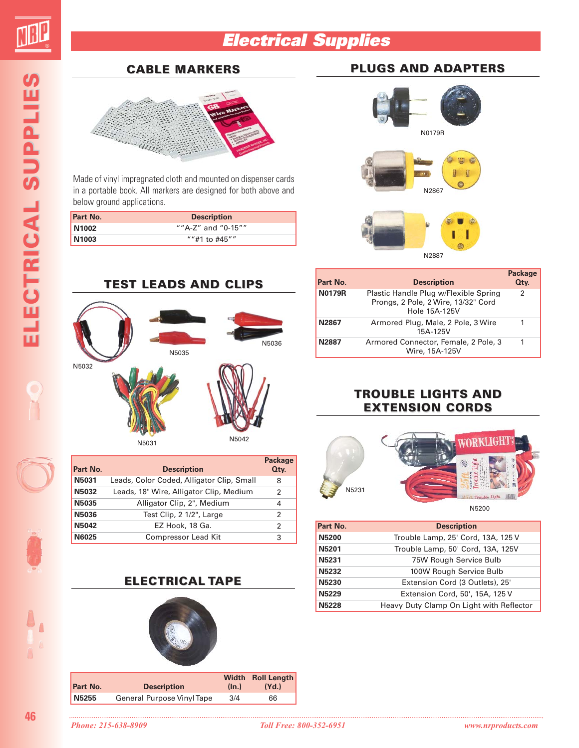

#### **Electrical Supplies**

# ELECTRICAL SUPPLIES **ELECTRIC ELECTRICAL SUPPLIES AL SUPPLIES**

#### **CABLE MARKERS**



Made of vinyl impregnated cloth and mounted on dispenser cards in a portable book. All markers are designed for both above and below ground applications.

| <b>Part No.</b>   | <b>Description</b> |  |
|-------------------|--------------------|--|
| N1002             | ""A-Z" and "0-15"" |  |
| N <sub>1003</sub> | ""#1 to $#45$ ""   |  |

# **TEST LEADS AND CLIPS** N5032 N5035 N5036 N5042 N5031

| Part No.     | <b>Description</b>                        | <b>Package</b><br>Qty. |
|--------------|-------------------------------------------|------------------------|
| N5031        | Leads, Color Coded, Alligator Clip, Small | 8                      |
| <b>N5032</b> | Leads, 18" Wire, Alligator Clip, Medium   | 2                      |
| N5035        | Alligator Clip, 2", Medium                | 4                      |
| N5036        | Test Clip, 2 1/2", Large                  | 2                      |
| <b>N5042</b> | EZ Hook, 18 Ga.                           | 2                      |
| N6025        | Compressor Lead Kit                       | 3                      |

#### **ELECTRICAL TAPE**



## **PLUGS AND ADAPTERS**



| Part No.      | <b>Description</b>                                                                            | <b>Package</b><br>Qty. |
|---------------|-----------------------------------------------------------------------------------------------|------------------------|
| <b>N0179R</b> | Plastic Handle Plug w/Flexible Spring<br>Prongs, 2 Pole, 2 Wire, 13/32" Cord<br>Hole 15A-125V | 2                      |
| N2867         | Armored Plug, Male, 2 Pole, 3 Wire<br>15A-125V                                                |                        |
| N2887         | Armored Connector, Female, 2 Pole, 3<br>Wire, 15A-125V                                        |                        |

#### **TROUBLE LIGHTS AND EXTENSION CORDS**



| Part No.<br><b>Description</b><br><b>N5200</b><br>Trouble Lamp, 25' Cord, 13A, 125 V<br><b>N5201</b><br>Trouble Lamp, 50' Cord, 13A, 125V<br>N5231<br>75W Rough Service Bulb<br><b>N5232</b><br>100W Rough Service Bulb<br>Extension Cord (3 Outlets), 25'<br><b>N5230</b><br><b>N5229</b><br>Extension Cord, 50', 15A, 125 V<br><b>N5228</b><br>Heavy Duty Clamp On Light with Reflector |  |
|-------------------------------------------------------------------------------------------------------------------------------------------------------------------------------------------------------------------------------------------------------------------------------------------------------------------------------------------------------------------------------------------|--|
|                                                                                                                                                                                                                                                                                                                                                                                           |  |
|                                                                                                                                                                                                                                                                                                                                                                                           |  |
|                                                                                                                                                                                                                                                                                                                                                                                           |  |
|                                                                                                                                                                                                                                                                                                                                                                                           |  |
|                                                                                                                                                                                                                                                                                                                                                                                           |  |
|                                                                                                                                                                                                                                                                                                                                                                                           |  |
|                                                                                                                                                                                                                                                                                                                                                                                           |  |
|                                                                                                                                                                                                                                                                                                                                                                                           |  |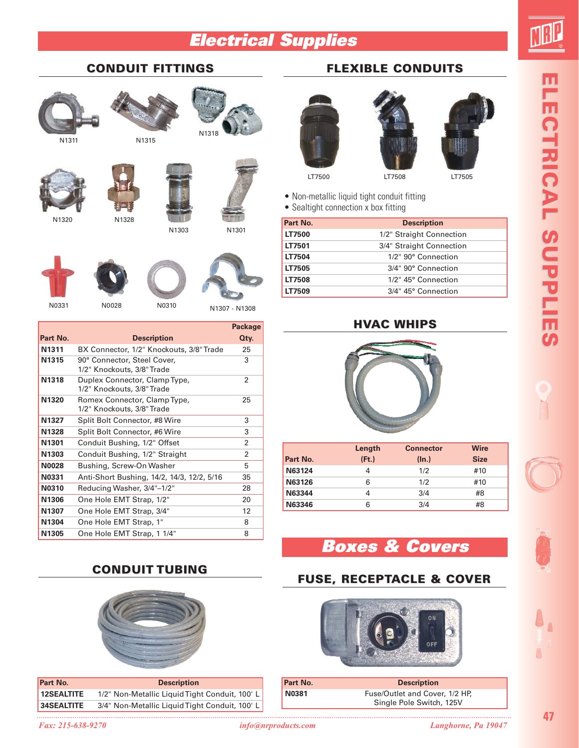#### **Electrical Supplies**



#### **CONDUIT FITTINGS**

N1315









N1303



N1318

N1301





|                   |                                                             | <b>Package</b> |
|-------------------|-------------------------------------------------------------|----------------|
| Part No.          | <b>Description</b>                                          | Qty.           |
| N <sub>1311</sub> | BX Connector, 1/2" Knockouts, 3/8" Trade                    | 25             |
| N1315             | 90° Connector, Steel Cover,<br>1/2" Knockouts, 3/8" Trade   | 3              |
| N1318             | Duplex Connector, Clamp Type,<br>1/2" Knockouts, 3/8" Trade | $\overline{2}$ |
| N1320             | Romex Connector, Clamp Type,<br>1/2" Knockouts, 3/8" Trade  | 25             |
| N1327             | Split Bolt Connector, #8 Wire                               | 3              |
| N1328             | Split Bolt Connector, #6 Wire                               | 3              |
| N1301             | Conduit Bushing, 1/2" Offset                                | 2              |
| N1303             | Conduit Bushing, 1/2" Straight                              | 2              |
| <b>N0028</b>      | Bushing, Screw-On Washer                                    | 5              |
| N0331             | Anti-Short Bushing, 14/2, 14/3, 12/2, 5/16                  | 35             |
| N0310             | Reducing Washer, 3/4"-1/2"                                  | 28             |
| N1306             | One Hole EMT Strap, 1/2"                                    | 20             |
| N1307             | One Hole EMT Strap, 3/4"                                    | 12             |
| N1304             | One Hole EMT Strap, 1"                                      | 8              |
| N1305             | One Hole EMT Strap, 1 1/4"                                  | 8              |

#### **FLEXIBLE CONDUITS**







LT7500 LT7505

• Non-metallic liquid tight conduit fitting

• Sealtight connection x box fitting

| Part No. | <b>Description</b>       |
|----------|--------------------------|
| LT7500   | 1/2" Straight Connection |
| LT7501   | 3/4" Straight Connection |
| LT7504   | 1/2" 90° Connection      |
| LT7505   | 3/4" 90° Connection      |
| LT7508   | 1/2" 45° Connection      |
| LT7509   | 3/4" 45° Connection      |

#### **HVAC WHIPS**



|          | Length | <b>Connector</b> | <b>Wire</b> |
|----------|--------|------------------|-------------|
| Part No. | (Ft.)  | (ln.)            | <b>Size</b> |
| N63124   | 4      | 1/2              | #10         |
| N63126   | 6      | 1/2              | #10         |
| N63344   | 4      | 3/4              | #8          |
| N63346   | 6      | 3/4              | #8          |

#### **Boxes & Covers**

#### **FUSE, RECEPTACLE & COVER**



| Part No.     | <b>Description</b>                                         |
|--------------|------------------------------------------------------------|
| <b>N0381</b> | Fuse/Outlet and Cover, 1/2 HP,<br>Single Pole Switch, 125V |

**ELECTRIC ELECTRICAL SUPPLIES AL SUPPLIES** ELECTRICAL SUPPLIES

#### **CONDUIT TUBING**



| Part No.          | <b>Description</b>                             |
|-------------------|------------------------------------------------|
| 12SEALTITE        | 1/2" Non-Metallic Liquid Tight Conduit, 100' L |
| <b>34SEALTITE</b> | 3/4" Non-Metallic Liquid Tight Conduit, 100' L |